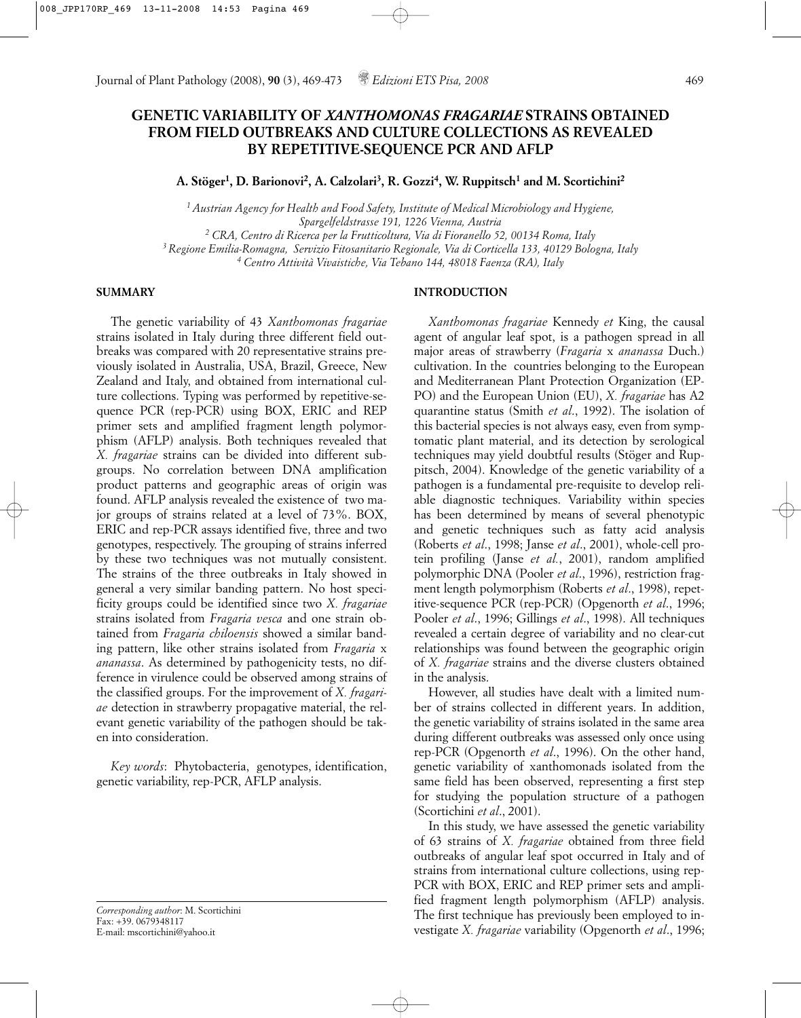# **GENETIC VARIABILITY OF** *XANTHOMONAS FRAGARIAE* **STRAINS OBTAINED FROM FIELD OUTBREAKS AND CULTURE COLLECTIONS AS REVEALED BY REPETITIVE-SEQUENCE PCR AND AFLP**

**A. Stöger1, D. Barionovi2, A. Calzolari3, R. Gozzi4, W. Ruppitsch1 and M. Scortichini2**

*1 Austrian Agency for Health and Food Safety, Institute of Medical Microbiology and Hygiene, Spargelfeldstrasse 191, 1226 Vienna, Austria <sup>2</sup> CRA, Centro di Ricerca per la Frutticoltura, Via di Fioranello 52, 00134 Roma, Italy 3 Regione Emilia-Romagna, Servizio Fitosanitario Regionale, Via di Corticella 133, 40129 Bologna, Italy <sup>4</sup> Centro Attività Vivaistiche, Via Tebano 144, 48018 Faenza (RA), Italy*

#### **SUMMARY**

The genetic variability of 43 *Xanthomonas fragariae* strains isolated in Italy during three different field outbreaks was compared with 20 representative strains previously isolated in Australia, USA, Brazil, Greece, New Zealand and Italy, and obtained from international culture collections. Typing was performed by repetitive-sequence PCR (rep-PCR) using BOX, ERIC and REP primer sets and amplified fragment length polymorphism (AFLP) analysis. Both techniques revealed that *X. fragariae* strains can be divided into different subgroups. No correlation between DNA amplification product patterns and geographic areas of origin was found. AFLP analysis revealed the existence of two major groups of strains related at a level of 73%. BOX, ERIC and rep-PCR assays identified five, three and two genotypes, respectively. The grouping of strains inferred by these two techniques was not mutually consistent. The strains of the three outbreaks in Italy showed in general a very similar banding pattern. No host specificity groups could be identified since two *X. fragariae* strains isolated from *Fragaria vesca* and one strain obtained from *Fragaria chiloensis* showed a similar banding pattern, like other strains isolated from *Fragaria* x *ananassa*. As determined by pathogenicity tests, no difference in virulence could be observed among strains of the classified groups. For the improvement of *X. fragariae* detection in strawberry propagative material, the relevant genetic variability of the pathogen should be taken into consideration.

*Key words*: Phytobacteria, genotypes, identification, genetic variability, rep-PCR, AFLP analysis.

*Corresponding author*: M. Scortichini Fax: +39. 0679348117 E-mail: mscortichini@yahoo.it

### **INTRODUCTION**

*Xanthomonas fragariae* Kennedy *et* King, the causal agent of angular leaf spot, is a pathogen spread in all major areas of strawberry (*Fragaria* x *ananassa* Duch.) cultivation. In the countries belonging to the European and Mediterranean Plant Protection Organization (EP-PO) and the European Union (EU), *X. fragariae* has A2 quarantine status (Smith *et al*., 1992). The isolation of this bacterial species is not always easy, even from symptomatic plant material, and its detection by serological techniques may yield doubtful results (Stöger and Ruppitsch, 2004). Knowledge of the genetic variability of a pathogen is a fundamental pre-requisite to develop reliable diagnostic techniques. Variability within species has been determined by means of several phenotypic and genetic techniques such as fatty acid analysis (Roberts *et al*., 1998; Janse *et al*., 2001), whole-cell protein profiling (Janse *et al.*, 2001), random amplified polymorphic DNA (Pooler *et al*., 1996), restriction fragment length polymorphism (Roberts *et al*., 1998), repetitive-sequence PCR (rep-PCR) (Opgenorth *et al*., 1996; Pooler *et al*., 1996; Gillings *et al*., 1998). All techniques revealed a certain degree of variability and no clear-cut relationships was found between the geographic origin of *X. fragariae* strains and the diverse clusters obtained in the analysis.

However, all studies have dealt with a limited number of strains collected in different years. In addition, the genetic variability of strains isolated in the same area during different outbreaks was assessed only once using rep-PCR (Opgenorth *et al*., 1996). On the other hand, genetic variability of xanthomonads isolated from the same field has been observed, representing a first step for studying the population structure of a pathogen (Scortichini *et al*., 2001).

In this study, we have assessed the genetic variability of 63 strains of *X. fragariae* obtained from three field outbreaks of angular leaf spot occurred in Italy and of strains from international culture collections, using rep-PCR with BOX, ERIC and REP primer sets and amplified fragment length polymorphism (AFLP) analysis. The first technique has previously been employed to investigate *X. fragariae* variability (Opgenorth *et al*., 1996;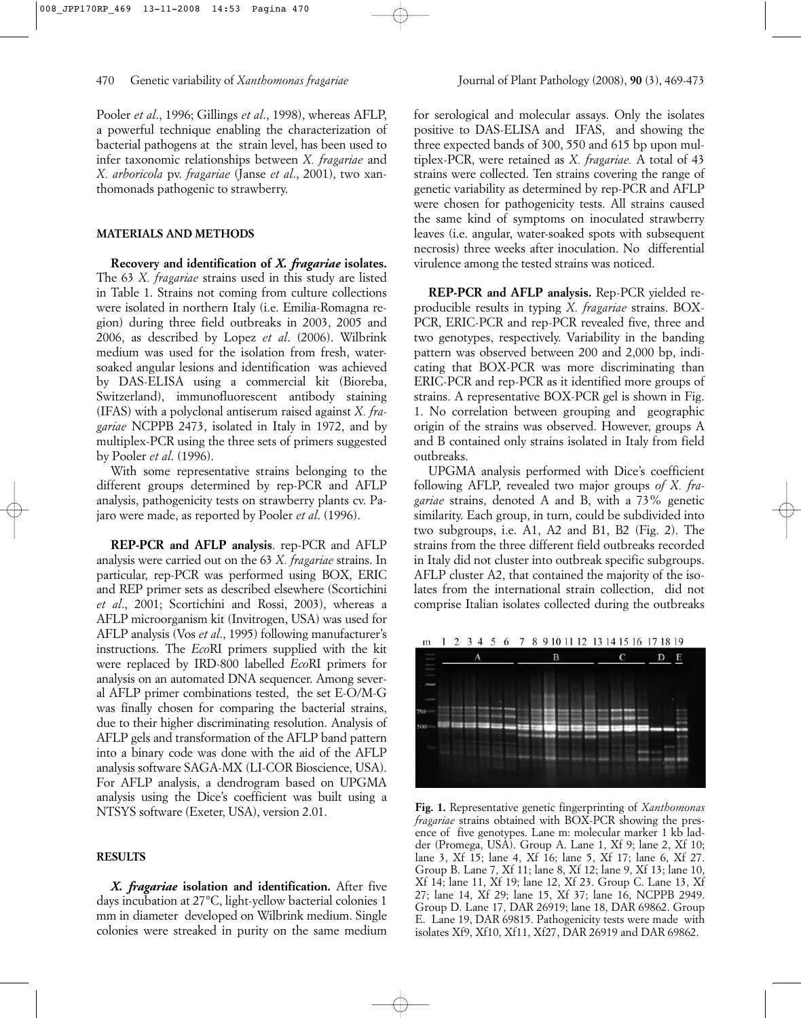Pooler *et al*., 1996; Gillings *et al*., 1998), whereas AFLP, a powerful technique enabling the characterization of bacterial pathogens at the strain level, has been used to infer taxonomic relationships between *X. fragariae* and *X. arboricola* pv. *fragariae* (Janse *et al*., 2001), two xanthomonads pathogenic to strawberry.

#### **MATERIALS AND METHODS**

**Recovery and identification of** *X. fragariae* **isolates.** The 63 *X. fragariae* strains used in this study are listed in Table 1. Strains not coming from culture collections were isolated in northern Italy (i.e. Emilia-Romagna region) during three field outbreaks in 2003, 2005 and 2006, as described by Lopez *et al*. (2006). Wilbrink medium was used for the isolation from fresh, watersoaked angular lesions and identification was achieved by DAS-ELISA using a commercial kit (Bioreba, Switzerland), immunofluorescent antibody staining (IFAS) with a polyclonal antiserum raised against *X. fragariae* NCPPB 2473, isolated in Italy in 1972, and by multiplex-PCR using the three sets of primers suggested by Pooler *et al*. (1996).

With some representative strains belonging to the different groups determined by rep-PCR and AFLP analysis, pathogenicity tests on strawberry plants cv. Pajaro were made, as reported by Pooler *et al*. (1996).

**REP-PCR and AFLP analysis**. rep-PCR and AFLP analysis were carried out on the 63 *X. fragariae* strains. In particular, rep-PCR was performed using BOX, ERIC and REP primer sets as described elsewhere (Scortichini *et al*., 2001; Scortichini and Rossi, 2003), whereas a AFLP microorganism kit (Invitrogen, USA) was used for AFLP analysis (Vos *et al*., 1995) following manufacturer's instructions. The *Eco*RI primers supplied with the kit were replaced by IRD-800 labelled *Eco*RI primers for analysis on an automated DNA sequencer. Among several AFLP primer combinations tested, the set E-O/M-G was finally chosen for comparing the bacterial strains, due to their higher discriminating resolution. Analysis of AFLP gels and transformation of the AFLP band pattern into a binary code was done with the aid of the AFLP analysis software SAGA-MX (LI-COR Bioscience, USA). For AFLP analysis, a dendrogram based on UPGMA analysis using the Dice's coefficient was built using a NTSYS software (Exeter, USA), version 2.01.

## **RESULTS**

*X. fragariae* **isolation and identification.** After five days incubation at 27°C, light-yellow bacterial colonies 1 mm in diameter developed on Wilbrink medium. Single colonies were streaked in purity on the same medium for serological and molecular assays. Only the isolates positive to DAS-ELISA and IFAS, and showing the three expected bands of 300, 550 and 615 bp upon multiplex-PCR, were retained as *X. fragariae.* A total of 43 strains were collected. Ten strains covering the range of genetic variability as determined by rep-PCR and AFLP were chosen for pathogenicity tests. All strains caused the same kind of symptoms on inoculated strawberry leaves (*i.e.* angular, water-soaked spots with subsequent necrosis) three weeks after inoculation. No differential virulence among the tested strains was noticed.

**REP-PCR and AFLP analysis.** Rep-PCR yielded reproducible results in typing *X. fragariae* strains. BOX-PCR, ERIC-PCR and rep-PCR revealed five, three and two genotypes, respectively. Variability in the banding pattern was observed between 200 and 2,000 bp, indicating that BOX-PCR was more discriminating than ERIC-PCR and rep-PCR as it identified more groups of strains. A representative BOX-PCR gel is shown in Fig. 1. No correlation between grouping and geographic origin of the strains was observed. However, groups A and B contained only strains isolated in Italy from field outbreaks.

UPGMA analysis performed with Dice's coefficient following AFLP, revealed two major groups *of X. fragariae* strains, denoted A and B, with a 73% genetic similarity. Each group, in turn, could be subdivided into two subgroups, i.e. A1, A2 and B1, B2 (Fig. 2). The strains from the three different field outbreaks recorded in Italy did not cluster into outbreak specific subgroups. AFLP cluster A2, that contained the majority of the isolates from the international strain collection, did not comprise Italian isolates collected during the outbreaks



**Fig. 1.** Representative genetic fingerprinting of *Xanthomonas fragariae* strains obtained with BOX-PCR showing the presence of five genotypes. Lane m: molecular marker 1 kb ladder (Promega, USA). Group A. Lane 1, Xf 9; lane 2, Xf 10; lane 3, Xf 15; lane 4, Xf 16; lane 5, Xf 17; lane 6, Xf 27. Group B. Lane 7, Xf 11; lane 8, Xf 12; lane 9, Xf 13; lane 10, Xf 14; lane 11, Xf 19; lane 12, Xf 23. Group C. Lane 13, Xf 27; lane 14, Xf 29; lane 15, Xf 37; lane 16, NCPPB 2949. Group D. Lane 17, DAR 26919; lane 18, DAR 69862. Group E. Lane 19, DAR 69815. Pathogenicity tests were made with isolates Xf9, Xf10, Xf11, Xf27, DAR 26919 and DAR 69862.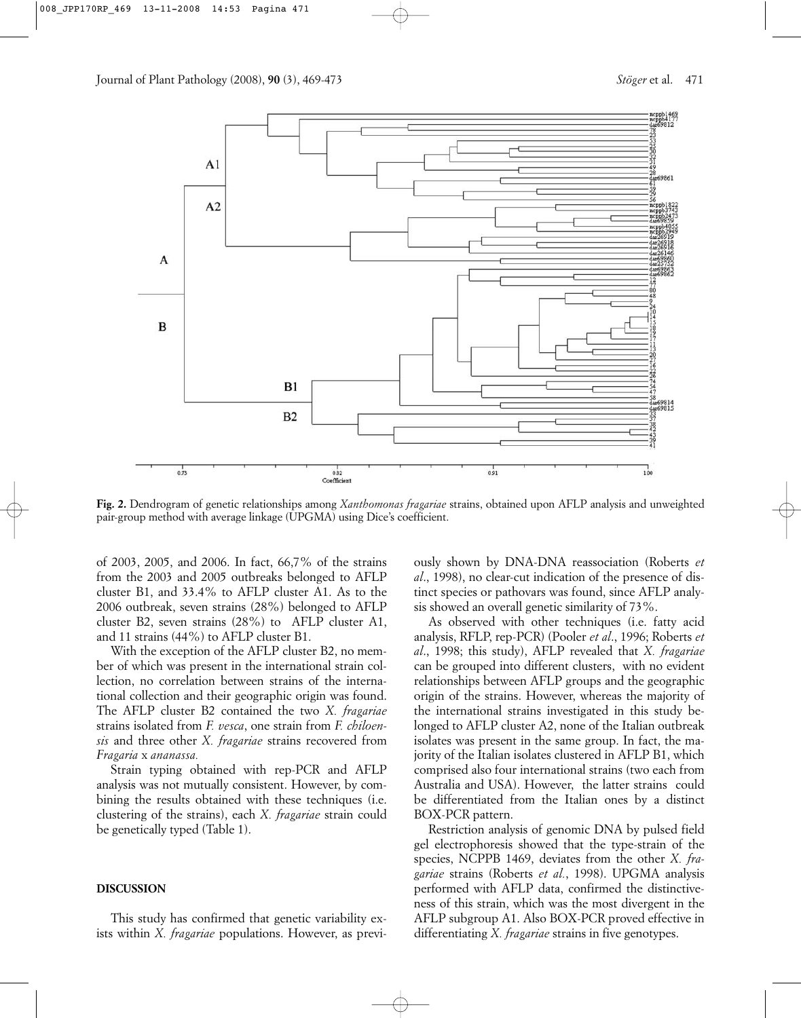

**Fig. 2.** Dendrogram of genetic relationships among *Xanthomonas fragariae* strains, obtained upon AFLP analysis and unweighted pair-group method with average linkage (UPGMA) using Dice's coefficient.

of 2003, 2005, and 2006. In fact, 66,7% of the strains from the 2003 and 2005 outbreaks belonged to AFLP cluster B1, and 33.4% to AFLP cluster A1. As to the 2006 outbreak, seven strains (28%) belonged to AFLP cluster B2, seven strains (28%) to AFLP cluster A1, and 11 strains (44%) to AFLP cluster B1.

With the exception of the AFLP cluster B2, no member of which was present in the international strain collection, no correlation between strains of the international collection and their geographic origin was found. The AFLP cluster B2 contained the two *X. fragariae* strains isolated from *F. vesca*, one strain from *F. chiloensis* and three other *X. fragariae* strains recovered from *Fragaria* x *ananassa.* 

Strain typing obtained with rep-PCR and AFLP analysis was not mutually consistent. However, by combining the results obtained with these techniques (i.e. clustering of the strains), each *X. fragariae* strain could be genetically typed (Table 1).

#### **DISCUSSION**

This study has confirmed that genetic variability exists within *X. fragariae* populations. However, as previously shown by DNA-DNA reassociation (Roberts *et al*., 1998), no clear-cut indication of the presence of distinct species or pathovars was found, since AFLP analysis showed an overall genetic similarity of 73%.

As observed with other techniques (i.e. fatty acid analysis, RFLP, rep-PCR) (Pooler *et al*., 1996; Roberts *et al*., 1998; this study), AFLP revealed that *X. fragariae* can be grouped into different clusters, with no evident relationships between AFLP groups and the geographic origin of the strains. However, whereas the majority of the international strains investigated in this study belonged to AFLP cluster A2, none of the Italian outbreak isolates was present in the same group. In fact, the majority of the Italian isolates clustered in AFLP B1, which comprised also four international strains (two each from Australia and USA). However, the latter strains could be differentiated from the Italian ones by a distinct BOX-PCR pattern.

Restriction analysis of genomic DNA by pulsed field gel electrophoresis showed that the type-strain of the species, NCPPB 1469, deviates from the other *X. fragariae* strains (Roberts *et al.*, 1998). UPGMA analysis performed with AFLP data, confirmed the distinctiveness of this strain, which was the most divergent in the AFLP subgroup A1. Also BOX-PCR proved effective in differentiating *X. fragariae* strains in five genotypes.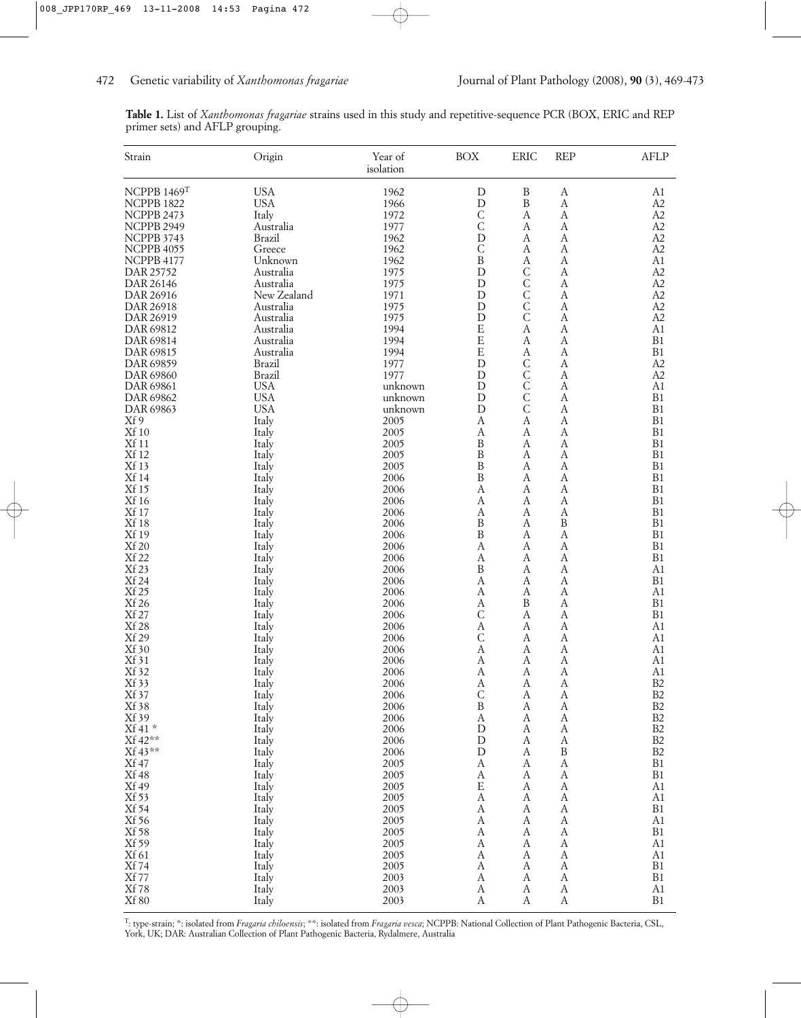|  |                                 | Table 1. List of Xanthomonas fragariae strains used in this study and repetitive-sequence PCR (BOX, ERIC and REP |  |  |  |  |  |
|--|---------------------------------|------------------------------------------------------------------------------------------------------------------|--|--|--|--|--|
|  | primer sets) and AFLP grouping. |                                                                                                                  |  |  |  |  |  |

| NCPPB 1469T<br><b>USA</b><br>1962<br>$\, {\bf B}$<br>D<br>A1<br>А<br>$\mathbf D$<br>$\, {\bf B}$<br>NCPPB 1822<br><b>USA</b><br>1966<br>A<br>A <sub>2</sub><br>$\mathsf C$<br>Italy<br>1972<br>$\boldsymbol{A}$<br>A2<br>NCPPB 2473<br>A<br>$\mathsf{C}$<br>1977<br>A2<br>NCPPB 2949<br>Australia<br>A<br>А<br>D<br>A2<br>NCPPB 3743<br>Brazil<br>1962<br>A<br>А<br>1962<br>C<br>A2<br>NCPPB 4055<br>Greece<br>A<br>А<br>1962<br>B<br>A<br>A1<br>NCPPB 4177<br>Unknown<br>A<br>$\mathsf C$<br>1975<br>D<br>$\boldsymbol{A}$<br>A <sub>2</sub><br>DAR 25752<br>Australia<br>$\mathsf C$<br>1975<br>D<br>A2<br>DAR 26146<br>Australia<br>А<br>$\mathsf C$<br>New Zealand<br>D<br>$\boldsymbol{A}$<br>A2<br>DAR 26916<br>1971<br>$\mathsf C$<br>1975<br>D<br>A2<br>DAR 26918<br>Australia<br>A<br>$\overline{C}$<br>Australia<br>1975<br>D<br>$\boldsymbol{A}$<br>A2<br>DAR 26919<br>1994<br>E<br>$\boldsymbol{A}$<br>Australia<br>Α<br>A1<br>E<br>1994<br>B1<br>Australia<br>А<br>А<br>E<br>1994<br>$\boldsymbol{A}$<br>B1<br>Australia<br>А<br>DAR 69815<br>1977<br>D<br>$\mathsf C$<br>A2<br>DAR 69859<br>Brazil<br>A<br>$\mathsf C$<br>Brazil<br>D<br>A<br>A2<br>DAR 69860<br>1977<br><b>USA</b><br>$\mathsf{C}$<br>D<br>A<br>DAR 69861<br>A1<br>unknown<br>$\mathsf C$<br><b>USA</b><br>D<br>B1<br>DAR 69862<br>А<br>unknown<br>$\mathsf C$<br><b>USA</b><br>D<br>$\boldsymbol{A}$<br>B1<br>DAR 69863<br>unknown<br>Xf 9<br>Italy<br>A<br>B1<br>2005<br>Α<br>А<br><b>Xf</b> 10<br>2005<br>$\boldsymbol{A}$<br>B1<br>Italy<br>Α<br>A<br>$\, {\bf B}$<br><b>Xf</b> 11<br>Italy<br>2005<br>A<br>B1<br>А<br><b>Xf 12</b><br>$\, {\bf B}$<br>B1<br>Italy<br>2005<br>A<br>А<br>Xf 13<br>$\boldsymbol{B}$<br>Italy<br>2005<br>$\boldsymbol{A}$<br>B1<br>А<br><b>Xf 14</b><br>B<br>B1<br>Italy<br>2006<br>А<br>A<br>Xf 15<br>2006<br>A<br>A<br>$\boldsymbol{A}$<br>B1<br>Italy<br><b>Xf 16</b><br>Italy<br>2006<br>B1<br>Α<br>А<br>А<br><b>Xf 17</b><br>B1<br>2006<br>Italy<br>A<br>A<br>А<br><b>Xf 18</b><br>2006<br>B<br>$\, {\bf B}$<br>B1<br>Italy<br>A<br>Xf 19<br>$\, {\bf B}$<br>B1<br>A<br>Italy<br>2006<br>A<br><b>Xf 20</b><br>A<br>B1<br>Italy<br>2006<br>A<br>А<br><b>Xf 22</b><br>2006<br>B1<br>Italy<br>А<br>А<br>А<br>Xf 23<br>B<br>A1<br>2006<br>A<br>А<br>Italy<br>Xf 24<br>Italy<br>2006<br>A<br>$\boldsymbol{A}$<br>B1<br>A<br>Xf 25<br>A <sub>1</sub><br>Italy<br>2006<br>Α<br>А<br>A<br>Xf 26<br>B<br>$\boldsymbol{A}$<br>B1<br>Italy<br>2006<br>Α<br>Xf 27<br>$\mathsf{C}$<br>B1<br>Italy<br>2006<br>A<br>А<br><b>Xf 28</b><br>Italy<br>2006<br>A<br>A1<br>А<br>A<br>Xf 29<br>$\mathsf{C}$<br>Italy<br>2006<br>A<br>A<br>A1<br>Xf 30<br>A<br>Italy<br>2006<br>Α<br>А<br>A1<br>Xf 31<br>2006<br>Α<br>А<br>А<br>A1<br>Italy<br>Xf 32<br>Italy<br>2006<br>А<br>А<br>А<br>A1<br>Italy<br>B2<br>Xf 33<br>2006<br>$\boldsymbol{A}$<br>A<br>$\boldsymbol{A}$<br>B2<br>$\mathsf{C}$<br>Xf 37<br>Italy<br>2006<br>A<br>A<br>Xf 38<br>$\, {\bf B}$<br>B2<br>Italy<br>2006<br>$\boldsymbol{A}$<br>A<br>Xf 39<br>2006<br>$\boldsymbol{A}$<br>B <sub>2</sub><br>Italy<br>A<br>А<br>Xf 41*<br>$\rm B2$<br>2006<br>${\rm D}$<br>Italy<br>A<br>A<br>Xf 42**<br>2006<br>$\mathbf D$<br>$\boldsymbol{A}$<br>B2<br>Italy<br>A<br>Xf 43**<br>$\, {\bf B}$<br>2006<br>${\rm D}$<br>B <sub>2</sub><br>Italy<br>A<br>Xf 47<br>2005<br>$\boldsymbol{A}$<br>B1<br>Italy<br>A<br>A<br><b>Xf 48</b><br>2005<br>$\boldsymbol{A}$<br>B1<br>Italy<br>A<br>А<br>Xf 49<br>E<br>A1<br>Italy<br>2005<br>A<br>A<br>$\boldsymbol{\rm{A}}$<br>Xf 53<br>2005<br>$\boldsymbol{A}$<br>A1<br>Italy<br>А<br>2005<br>$\boldsymbol{A}$<br>B1<br>Italy<br>A<br>A<br>Xf 56<br>2005<br>$\boldsymbol{A}$<br>A1<br>Italy<br>A<br>A<br>Xf 58<br>A<br>$\boldsymbol{A}$<br>Italy<br>2005<br>А<br>B1<br>Xf 59<br>$\boldsymbol{A}$<br>A1<br>Italy<br>2005<br>A<br>A<br>Xf 61<br>A<br>A1<br>Italy<br>2005<br>А<br>A<br>B1<br><b>Xf</b> 74<br>2005<br>$\boldsymbol{A}$<br>$\boldsymbol{A}$<br>Italy<br>A<br><b>Xf</b> 77<br>B1<br>2003<br>A<br>A<br>A<br>Italy<br><b>Xf</b> 78<br>A1<br>Italy<br>2003<br>$\boldsymbol{A}$<br>$\boldsymbol{A}$<br>A | Strain       | Origin | Year of<br>isolation | <b>BOX</b> | <b>ERIC</b> | <b>REP</b>       | AFLP |
|------------------------------------------------------------------------------------------------------------------------------------------------------------------------------------------------------------------------------------------------------------------------------------------------------------------------------------------------------------------------------------------------------------------------------------------------------------------------------------------------------------------------------------------------------------------------------------------------------------------------------------------------------------------------------------------------------------------------------------------------------------------------------------------------------------------------------------------------------------------------------------------------------------------------------------------------------------------------------------------------------------------------------------------------------------------------------------------------------------------------------------------------------------------------------------------------------------------------------------------------------------------------------------------------------------------------------------------------------------------------------------------------------------------------------------------------------------------------------------------------------------------------------------------------------------------------------------------------------------------------------------------------------------------------------------------------------------------------------------------------------------------------------------------------------------------------------------------------------------------------------------------------------------------------------------------------------------------------------------------------------------------------------------------------------------------------------------------------------------------------------------------------------------------------------------------------------------------------------------------------------------------------------------------------------------------------------------------------------------------------------------------------------------------------------------------------------------------------------------------------------------------------------------------------------------------------------------------------------------------------------------------------------------------------------------------------------------------------------------------------------------------------------------------------------------------------------------------------------------------------------------------------------------------------------------------------------------------------------------------------------------------------------------------------------------------------------------------------------------------------------------------------------------------------------------------------------------------------------------------------------------------------------------------------------------------------------------------------------------------------------------------------------------------------------------------------------------------------------------------------------------------------------------------------------------------------------------------------------------------------------------------------------------------------------------------------------------------------------------------------------------------------------------------------------------------------------------------------------------------------------------------------------------------------------------------------------------------------------------------------------------------------------------------------------------------------------------------------------------|--------------|--------|----------------------|------------|-------------|------------------|------|
|                                                                                                                                                                                                                                                                                                                                                                                                                                                                                                                                                                                                                                                                                                                                                                                                                                                                                                                                                                                                                                                                                                                                                                                                                                                                                                                                                                                                                                                                                                                                                                                                                                                                                                                                                                                                                                                                                                                                                                                                                                                                                                                                                                                                                                                                                                                                                                                                                                                                                                                                                                                                                                                                                                                                                                                                                                                                                                                                                                                                                                                                                                                                                                                                                                                                                                                                                                                                                                                                                                                                                                                                                                                                                                                                                                                                                                                                                                                                                                                                                                                                                                            |              |        |                      |            |             |                  |      |
|                                                                                                                                                                                                                                                                                                                                                                                                                                                                                                                                                                                                                                                                                                                                                                                                                                                                                                                                                                                                                                                                                                                                                                                                                                                                                                                                                                                                                                                                                                                                                                                                                                                                                                                                                                                                                                                                                                                                                                                                                                                                                                                                                                                                                                                                                                                                                                                                                                                                                                                                                                                                                                                                                                                                                                                                                                                                                                                                                                                                                                                                                                                                                                                                                                                                                                                                                                                                                                                                                                                                                                                                                                                                                                                                                                                                                                                                                                                                                                                                                                                                                                            |              |        |                      |            |             |                  |      |
|                                                                                                                                                                                                                                                                                                                                                                                                                                                                                                                                                                                                                                                                                                                                                                                                                                                                                                                                                                                                                                                                                                                                                                                                                                                                                                                                                                                                                                                                                                                                                                                                                                                                                                                                                                                                                                                                                                                                                                                                                                                                                                                                                                                                                                                                                                                                                                                                                                                                                                                                                                                                                                                                                                                                                                                                                                                                                                                                                                                                                                                                                                                                                                                                                                                                                                                                                                                                                                                                                                                                                                                                                                                                                                                                                                                                                                                                                                                                                                                                                                                                                                            |              |        |                      |            |             |                  |      |
|                                                                                                                                                                                                                                                                                                                                                                                                                                                                                                                                                                                                                                                                                                                                                                                                                                                                                                                                                                                                                                                                                                                                                                                                                                                                                                                                                                                                                                                                                                                                                                                                                                                                                                                                                                                                                                                                                                                                                                                                                                                                                                                                                                                                                                                                                                                                                                                                                                                                                                                                                                                                                                                                                                                                                                                                                                                                                                                                                                                                                                                                                                                                                                                                                                                                                                                                                                                                                                                                                                                                                                                                                                                                                                                                                                                                                                                                                                                                                                                                                                                                                                            |              |        |                      |            |             |                  |      |
|                                                                                                                                                                                                                                                                                                                                                                                                                                                                                                                                                                                                                                                                                                                                                                                                                                                                                                                                                                                                                                                                                                                                                                                                                                                                                                                                                                                                                                                                                                                                                                                                                                                                                                                                                                                                                                                                                                                                                                                                                                                                                                                                                                                                                                                                                                                                                                                                                                                                                                                                                                                                                                                                                                                                                                                                                                                                                                                                                                                                                                                                                                                                                                                                                                                                                                                                                                                                                                                                                                                                                                                                                                                                                                                                                                                                                                                                                                                                                                                                                                                                                                            |              |        |                      |            |             |                  |      |
|                                                                                                                                                                                                                                                                                                                                                                                                                                                                                                                                                                                                                                                                                                                                                                                                                                                                                                                                                                                                                                                                                                                                                                                                                                                                                                                                                                                                                                                                                                                                                                                                                                                                                                                                                                                                                                                                                                                                                                                                                                                                                                                                                                                                                                                                                                                                                                                                                                                                                                                                                                                                                                                                                                                                                                                                                                                                                                                                                                                                                                                                                                                                                                                                                                                                                                                                                                                                                                                                                                                                                                                                                                                                                                                                                                                                                                                                                                                                                                                                                                                                                                            |              |        |                      |            |             |                  |      |
|                                                                                                                                                                                                                                                                                                                                                                                                                                                                                                                                                                                                                                                                                                                                                                                                                                                                                                                                                                                                                                                                                                                                                                                                                                                                                                                                                                                                                                                                                                                                                                                                                                                                                                                                                                                                                                                                                                                                                                                                                                                                                                                                                                                                                                                                                                                                                                                                                                                                                                                                                                                                                                                                                                                                                                                                                                                                                                                                                                                                                                                                                                                                                                                                                                                                                                                                                                                                                                                                                                                                                                                                                                                                                                                                                                                                                                                                                                                                                                                                                                                                                                            |              |        |                      |            |             |                  |      |
|                                                                                                                                                                                                                                                                                                                                                                                                                                                                                                                                                                                                                                                                                                                                                                                                                                                                                                                                                                                                                                                                                                                                                                                                                                                                                                                                                                                                                                                                                                                                                                                                                                                                                                                                                                                                                                                                                                                                                                                                                                                                                                                                                                                                                                                                                                                                                                                                                                                                                                                                                                                                                                                                                                                                                                                                                                                                                                                                                                                                                                                                                                                                                                                                                                                                                                                                                                                                                                                                                                                                                                                                                                                                                                                                                                                                                                                                                                                                                                                                                                                                                                            |              |        |                      |            |             |                  |      |
|                                                                                                                                                                                                                                                                                                                                                                                                                                                                                                                                                                                                                                                                                                                                                                                                                                                                                                                                                                                                                                                                                                                                                                                                                                                                                                                                                                                                                                                                                                                                                                                                                                                                                                                                                                                                                                                                                                                                                                                                                                                                                                                                                                                                                                                                                                                                                                                                                                                                                                                                                                                                                                                                                                                                                                                                                                                                                                                                                                                                                                                                                                                                                                                                                                                                                                                                                                                                                                                                                                                                                                                                                                                                                                                                                                                                                                                                                                                                                                                                                                                                                                            |              |        |                      |            |             |                  |      |
|                                                                                                                                                                                                                                                                                                                                                                                                                                                                                                                                                                                                                                                                                                                                                                                                                                                                                                                                                                                                                                                                                                                                                                                                                                                                                                                                                                                                                                                                                                                                                                                                                                                                                                                                                                                                                                                                                                                                                                                                                                                                                                                                                                                                                                                                                                                                                                                                                                                                                                                                                                                                                                                                                                                                                                                                                                                                                                                                                                                                                                                                                                                                                                                                                                                                                                                                                                                                                                                                                                                                                                                                                                                                                                                                                                                                                                                                                                                                                                                                                                                                                                            |              |        |                      |            |             |                  |      |
|                                                                                                                                                                                                                                                                                                                                                                                                                                                                                                                                                                                                                                                                                                                                                                                                                                                                                                                                                                                                                                                                                                                                                                                                                                                                                                                                                                                                                                                                                                                                                                                                                                                                                                                                                                                                                                                                                                                                                                                                                                                                                                                                                                                                                                                                                                                                                                                                                                                                                                                                                                                                                                                                                                                                                                                                                                                                                                                                                                                                                                                                                                                                                                                                                                                                                                                                                                                                                                                                                                                                                                                                                                                                                                                                                                                                                                                                                                                                                                                                                                                                                                            |              |        |                      |            |             |                  |      |
|                                                                                                                                                                                                                                                                                                                                                                                                                                                                                                                                                                                                                                                                                                                                                                                                                                                                                                                                                                                                                                                                                                                                                                                                                                                                                                                                                                                                                                                                                                                                                                                                                                                                                                                                                                                                                                                                                                                                                                                                                                                                                                                                                                                                                                                                                                                                                                                                                                                                                                                                                                                                                                                                                                                                                                                                                                                                                                                                                                                                                                                                                                                                                                                                                                                                                                                                                                                                                                                                                                                                                                                                                                                                                                                                                                                                                                                                                                                                                                                                                                                                                                            | DAR 69812    |        |                      |            |             |                  |      |
|                                                                                                                                                                                                                                                                                                                                                                                                                                                                                                                                                                                                                                                                                                                                                                                                                                                                                                                                                                                                                                                                                                                                                                                                                                                                                                                                                                                                                                                                                                                                                                                                                                                                                                                                                                                                                                                                                                                                                                                                                                                                                                                                                                                                                                                                                                                                                                                                                                                                                                                                                                                                                                                                                                                                                                                                                                                                                                                                                                                                                                                                                                                                                                                                                                                                                                                                                                                                                                                                                                                                                                                                                                                                                                                                                                                                                                                                                                                                                                                                                                                                                                            | DAR 69814    |        |                      |            |             |                  |      |
|                                                                                                                                                                                                                                                                                                                                                                                                                                                                                                                                                                                                                                                                                                                                                                                                                                                                                                                                                                                                                                                                                                                                                                                                                                                                                                                                                                                                                                                                                                                                                                                                                                                                                                                                                                                                                                                                                                                                                                                                                                                                                                                                                                                                                                                                                                                                                                                                                                                                                                                                                                                                                                                                                                                                                                                                                                                                                                                                                                                                                                                                                                                                                                                                                                                                                                                                                                                                                                                                                                                                                                                                                                                                                                                                                                                                                                                                                                                                                                                                                                                                                                            |              |        |                      |            |             |                  |      |
|                                                                                                                                                                                                                                                                                                                                                                                                                                                                                                                                                                                                                                                                                                                                                                                                                                                                                                                                                                                                                                                                                                                                                                                                                                                                                                                                                                                                                                                                                                                                                                                                                                                                                                                                                                                                                                                                                                                                                                                                                                                                                                                                                                                                                                                                                                                                                                                                                                                                                                                                                                                                                                                                                                                                                                                                                                                                                                                                                                                                                                                                                                                                                                                                                                                                                                                                                                                                                                                                                                                                                                                                                                                                                                                                                                                                                                                                                                                                                                                                                                                                                                            |              |        |                      |            |             |                  |      |
|                                                                                                                                                                                                                                                                                                                                                                                                                                                                                                                                                                                                                                                                                                                                                                                                                                                                                                                                                                                                                                                                                                                                                                                                                                                                                                                                                                                                                                                                                                                                                                                                                                                                                                                                                                                                                                                                                                                                                                                                                                                                                                                                                                                                                                                                                                                                                                                                                                                                                                                                                                                                                                                                                                                                                                                                                                                                                                                                                                                                                                                                                                                                                                                                                                                                                                                                                                                                                                                                                                                                                                                                                                                                                                                                                                                                                                                                                                                                                                                                                                                                                                            |              |        |                      |            |             |                  |      |
|                                                                                                                                                                                                                                                                                                                                                                                                                                                                                                                                                                                                                                                                                                                                                                                                                                                                                                                                                                                                                                                                                                                                                                                                                                                                                                                                                                                                                                                                                                                                                                                                                                                                                                                                                                                                                                                                                                                                                                                                                                                                                                                                                                                                                                                                                                                                                                                                                                                                                                                                                                                                                                                                                                                                                                                                                                                                                                                                                                                                                                                                                                                                                                                                                                                                                                                                                                                                                                                                                                                                                                                                                                                                                                                                                                                                                                                                                                                                                                                                                                                                                                            |              |        |                      |            |             |                  |      |
|                                                                                                                                                                                                                                                                                                                                                                                                                                                                                                                                                                                                                                                                                                                                                                                                                                                                                                                                                                                                                                                                                                                                                                                                                                                                                                                                                                                                                                                                                                                                                                                                                                                                                                                                                                                                                                                                                                                                                                                                                                                                                                                                                                                                                                                                                                                                                                                                                                                                                                                                                                                                                                                                                                                                                                                                                                                                                                                                                                                                                                                                                                                                                                                                                                                                                                                                                                                                                                                                                                                                                                                                                                                                                                                                                                                                                                                                                                                                                                                                                                                                                                            |              |        |                      |            |             |                  |      |
|                                                                                                                                                                                                                                                                                                                                                                                                                                                                                                                                                                                                                                                                                                                                                                                                                                                                                                                                                                                                                                                                                                                                                                                                                                                                                                                                                                                                                                                                                                                                                                                                                                                                                                                                                                                                                                                                                                                                                                                                                                                                                                                                                                                                                                                                                                                                                                                                                                                                                                                                                                                                                                                                                                                                                                                                                                                                                                                                                                                                                                                                                                                                                                                                                                                                                                                                                                                                                                                                                                                                                                                                                                                                                                                                                                                                                                                                                                                                                                                                                                                                                                            |              |        |                      |            |             |                  |      |
|                                                                                                                                                                                                                                                                                                                                                                                                                                                                                                                                                                                                                                                                                                                                                                                                                                                                                                                                                                                                                                                                                                                                                                                                                                                                                                                                                                                                                                                                                                                                                                                                                                                                                                                                                                                                                                                                                                                                                                                                                                                                                                                                                                                                                                                                                                                                                                                                                                                                                                                                                                                                                                                                                                                                                                                                                                                                                                                                                                                                                                                                                                                                                                                                                                                                                                                                                                                                                                                                                                                                                                                                                                                                                                                                                                                                                                                                                                                                                                                                                                                                                                            |              |        |                      |            |             |                  |      |
|                                                                                                                                                                                                                                                                                                                                                                                                                                                                                                                                                                                                                                                                                                                                                                                                                                                                                                                                                                                                                                                                                                                                                                                                                                                                                                                                                                                                                                                                                                                                                                                                                                                                                                                                                                                                                                                                                                                                                                                                                                                                                                                                                                                                                                                                                                                                                                                                                                                                                                                                                                                                                                                                                                                                                                                                                                                                                                                                                                                                                                                                                                                                                                                                                                                                                                                                                                                                                                                                                                                                                                                                                                                                                                                                                                                                                                                                                                                                                                                                                                                                                                            |              |        |                      |            |             |                  |      |
|                                                                                                                                                                                                                                                                                                                                                                                                                                                                                                                                                                                                                                                                                                                                                                                                                                                                                                                                                                                                                                                                                                                                                                                                                                                                                                                                                                                                                                                                                                                                                                                                                                                                                                                                                                                                                                                                                                                                                                                                                                                                                                                                                                                                                                                                                                                                                                                                                                                                                                                                                                                                                                                                                                                                                                                                                                                                                                                                                                                                                                                                                                                                                                                                                                                                                                                                                                                                                                                                                                                                                                                                                                                                                                                                                                                                                                                                                                                                                                                                                                                                                                            |              |        |                      |            |             |                  |      |
|                                                                                                                                                                                                                                                                                                                                                                                                                                                                                                                                                                                                                                                                                                                                                                                                                                                                                                                                                                                                                                                                                                                                                                                                                                                                                                                                                                                                                                                                                                                                                                                                                                                                                                                                                                                                                                                                                                                                                                                                                                                                                                                                                                                                                                                                                                                                                                                                                                                                                                                                                                                                                                                                                                                                                                                                                                                                                                                                                                                                                                                                                                                                                                                                                                                                                                                                                                                                                                                                                                                                                                                                                                                                                                                                                                                                                                                                                                                                                                                                                                                                                                            |              |        |                      |            |             |                  |      |
|                                                                                                                                                                                                                                                                                                                                                                                                                                                                                                                                                                                                                                                                                                                                                                                                                                                                                                                                                                                                                                                                                                                                                                                                                                                                                                                                                                                                                                                                                                                                                                                                                                                                                                                                                                                                                                                                                                                                                                                                                                                                                                                                                                                                                                                                                                                                                                                                                                                                                                                                                                                                                                                                                                                                                                                                                                                                                                                                                                                                                                                                                                                                                                                                                                                                                                                                                                                                                                                                                                                                                                                                                                                                                                                                                                                                                                                                                                                                                                                                                                                                                                            |              |        |                      |            |             |                  |      |
|                                                                                                                                                                                                                                                                                                                                                                                                                                                                                                                                                                                                                                                                                                                                                                                                                                                                                                                                                                                                                                                                                                                                                                                                                                                                                                                                                                                                                                                                                                                                                                                                                                                                                                                                                                                                                                                                                                                                                                                                                                                                                                                                                                                                                                                                                                                                                                                                                                                                                                                                                                                                                                                                                                                                                                                                                                                                                                                                                                                                                                                                                                                                                                                                                                                                                                                                                                                                                                                                                                                                                                                                                                                                                                                                                                                                                                                                                                                                                                                                                                                                                                            |              |        |                      |            |             |                  |      |
|                                                                                                                                                                                                                                                                                                                                                                                                                                                                                                                                                                                                                                                                                                                                                                                                                                                                                                                                                                                                                                                                                                                                                                                                                                                                                                                                                                                                                                                                                                                                                                                                                                                                                                                                                                                                                                                                                                                                                                                                                                                                                                                                                                                                                                                                                                                                                                                                                                                                                                                                                                                                                                                                                                                                                                                                                                                                                                                                                                                                                                                                                                                                                                                                                                                                                                                                                                                                                                                                                                                                                                                                                                                                                                                                                                                                                                                                                                                                                                                                                                                                                                            |              |        |                      |            |             |                  |      |
|                                                                                                                                                                                                                                                                                                                                                                                                                                                                                                                                                                                                                                                                                                                                                                                                                                                                                                                                                                                                                                                                                                                                                                                                                                                                                                                                                                                                                                                                                                                                                                                                                                                                                                                                                                                                                                                                                                                                                                                                                                                                                                                                                                                                                                                                                                                                                                                                                                                                                                                                                                                                                                                                                                                                                                                                                                                                                                                                                                                                                                                                                                                                                                                                                                                                                                                                                                                                                                                                                                                                                                                                                                                                                                                                                                                                                                                                                                                                                                                                                                                                                                            |              |        |                      |            |             |                  |      |
|                                                                                                                                                                                                                                                                                                                                                                                                                                                                                                                                                                                                                                                                                                                                                                                                                                                                                                                                                                                                                                                                                                                                                                                                                                                                                                                                                                                                                                                                                                                                                                                                                                                                                                                                                                                                                                                                                                                                                                                                                                                                                                                                                                                                                                                                                                                                                                                                                                                                                                                                                                                                                                                                                                                                                                                                                                                                                                                                                                                                                                                                                                                                                                                                                                                                                                                                                                                                                                                                                                                                                                                                                                                                                                                                                                                                                                                                                                                                                                                                                                                                                                            |              |        |                      |            |             |                  |      |
|                                                                                                                                                                                                                                                                                                                                                                                                                                                                                                                                                                                                                                                                                                                                                                                                                                                                                                                                                                                                                                                                                                                                                                                                                                                                                                                                                                                                                                                                                                                                                                                                                                                                                                                                                                                                                                                                                                                                                                                                                                                                                                                                                                                                                                                                                                                                                                                                                                                                                                                                                                                                                                                                                                                                                                                                                                                                                                                                                                                                                                                                                                                                                                                                                                                                                                                                                                                                                                                                                                                                                                                                                                                                                                                                                                                                                                                                                                                                                                                                                                                                                                            |              |        |                      |            |             |                  |      |
|                                                                                                                                                                                                                                                                                                                                                                                                                                                                                                                                                                                                                                                                                                                                                                                                                                                                                                                                                                                                                                                                                                                                                                                                                                                                                                                                                                                                                                                                                                                                                                                                                                                                                                                                                                                                                                                                                                                                                                                                                                                                                                                                                                                                                                                                                                                                                                                                                                                                                                                                                                                                                                                                                                                                                                                                                                                                                                                                                                                                                                                                                                                                                                                                                                                                                                                                                                                                                                                                                                                                                                                                                                                                                                                                                                                                                                                                                                                                                                                                                                                                                                            |              |        |                      |            |             |                  |      |
|                                                                                                                                                                                                                                                                                                                                                                                                                                                                                                                                                                                                                                                                                                                                                                                                                                                                                                                                                                                                                                                                                                                                                                                                                                                                                                                                                                                                                                                                                                                                                                                                                                                                                                                                                                                                                                                                                                                                                                                                                                                                                                                                                                                                                                                                                                                                                                                                                                                                                                                                                                                                                                                                                                                                                                                                                                                                                                                                                                                                                                                                                                                                                                                                                                                                                                                                                                                                                                                                                                                                                                                                                                                                                                                                                                                                                                                                                                                                                                                                                                                                                                            |              |        |                      |            |             |                  |      |
|                                                                                                                                                                                                                                                                                                                                                                                                                                                                                                                                                                                                                                                                                                                                                                                                                                                                                                                                                                                                                                                                                                                                                                                                                                                                                                                                                                                                                                                                                                                                                                                                                                                                                                                                                                                                                                                                                                                                                                                                                                                                                                                                                                                                                                                                                                                                                                                                                                                                                                                                                                                                                                                                                                                                                                                                                                                                                                                                                                                                                                                                                                                                                                                                                                                                                                                                                                                                                                                                                                                                                                                                                                                                                                                                                                                                                                                                                                                                                                                                                                                                                                            |              |        |                      |            |             |                  |      |
|                                                                                                                                                                                                                                                                                                                                                                                                                                                                                                                                                                                                                                                                                                                                                                                                                                                                                                                                                                                                                                                                                                                                                                                                                                                                                                                                                                                                                                                                                                                                                                                                                                                                                                                                                                                                                                                                                                                                                                                                                                                                                                                                                                                                                                                                                                                                                                                                                                                                                                                                                                                                                                                                                                                                                                                                                                                                                                                                                                                                                                                                                                                                                                                                                                                                                                                                                                                                                                                                                                                                                                                                                                                                                                                                                                                                                                                                                                                                                                                                                                                                                                            |              |        |                      |            |             |                  |      |
|                                                                                                                                                                                                                                                                                                                                                                                                                                                                                                                                                                                                                                                                                                                                                                                                                                                                                                                                                                                                                                                                                                                                                                                                                                                                                                                                                                                                                                                                                                                                                                                                                                                                                                                                                                                                                                                                                                                                                                                                                                                                                                                                                                                                                                                                                                                                                                                                                                                                                                                                                                                                                                                                                                                                                                                                                                                                                                                                                                                                                                                                                                                                                                                                                                                                                                                                                                                                                                                                                                                                                                                                                                                                                                                                                                                                                                                                                                                                                                                                                                                                                                            |              |        |                      |            |             |                  |      |
|                                                                                                                                                                                                                                                                                                                                                                                                                                                                                                                                                                                                                                                                                                                                                                                                                                                                                                                                                                                                                                                                                                                                                                                                                                                                                                                                                                                                                                                                                                                                                                                                                                                                                                                                                                                                                                                                                                                                                                                                                                                                                                                                                                                                                                                                                                                                                                                                                                                                                                                                                                                                                                                                                                                                                                                                                                                                                                                                                                                                                                                                                                                                                                                                                                                                                                                                                                                                                                                                                                                                                                                                                                                                                                                                                                                                                                                                                                                                                                                                                                                                                                            |              |        |                      |            |             |                  |      |
|                                                                                                                                                                                                                                                                                                                                                                                                                                                                                                                                                                                                                                                                                                                                                                                                                                                                                                                                                                                                                                                                                                                                                                                                                                                                                                                                                                                                                                                                                                                                                                                                                                                                                                                                                                                                                                                                                                                                                                                                                                                                                                                                                                                                                                                                                                                                                                                                                                                                                                                                                                                                                                                                                                                                                                                                                                                                                                                                                                                                                                                                                                                                                                                                                                                                                                                                                                                                                                                                                                                                                                                                                                                                                                                                                                                                                                                                                                                                                                                                                                                                                                            |              |        |                      |            |             |                  |      |
|                                                                                                                                                                                                                                                                                                                                                                                                                                                                                                                                                                                                                                                                                                                                                                                                                                                                                                                                                                                                                                                                                                                                                                                                                                                                                                                                                                                                                                                                                                                                                                                                                                                                                                                                                                                                                                                                                                                                                                                                                                                                                                                                                                                                                                                                                                                                                                                                                                                                                                                                                                                                                                                                                                                                                                                                                                                                                                                                                                                                                                                                                                                                                                                                                                                                                                                                                                                                                                                                                                                                                                                                                                                                                                                                                                                                                                                                                                                                                                                                                                                                                                            |              |        |                      |            |             |                  |      |
|                                                                                                                                                                                                                                                                                                                                                                                                                                                                                                                                                                                                                                                                                                                                                                                                                                                                                                                                                                                                                                                                                                                                                                                                                                                                                                                                                                                                                                                                                                                                                                                                                                                                                                                                                                                                                                                                                                                                                                                                                                                                                                                                                                                                                                                                                                                                                                                                                                                                                                                                                                                                                                                                                                                                                                                                                                                                                                                                                                                                                                                                                                                                                                                                                                                                                                                                                                                                                                                                                                                                                                                                                                                                                                                                                                                                                                                                                                                                                                                                                                                                                                            |              |        |                      |            |             |                  |      |
|                                                                                                                                                                                                                                                                                                                                                                                                                                                                                                                                                                                                                                                                                                                                                                                                                                                                                                                                                                                                                                                                                                                                                                                                                                                                                                                                                                                                                                                                                                                                                                                                                                                                                                                                                                                                                                                                                                                                                                                                                                                                                                                                                                                                                                                                                                                                                                                                                                                                                                                                                                                                                                                                                                                                                                                                                                                                                                                                                                                                                                                                                                                                                                                                                                                                                                                                                                                                                                                                                                                                                                                                                                                                                                                                                                                                                                                                                                                                                                                                                                                                                                            |              |        |                      |            |             |                  |      |
|                                                                                                                                                                                                                                                                                                                                                                                                                                                                                                                                                                                                                                                                                                                                                                                                                                                                                                                                                                                                                                                                                                                                                                                                                                                                                                                                                                                                                                                                                                                                                                                                                                                                                                                                                                                                                                                                                                                                                                                                                                                                                                                                                                                                                                                                                                                                                                                                                                                                                                                                                                                                                                                                                                                                                                                                                                                                                                                                                                                                                                                                                                                                                                                                                                                                                                                                                                                                                                                                                                                                                                                                                                                                                                                                                                                                                                                                                                                                                                                                                                                                                                            |              |        |                      |            |             |                  |      |
|                                                                                                                                                                                                                                                                                                                                                                                                                                                                                                                                                                                                                                                                                                                                                                                                                                                                                                                                                                                                                                                                                                                                                                                                                                                                                                                                                                                                                                                                                                                                                                                                                                                                                                                                                                                                                                                                                                                                                                                                                                                                                                                                                                                                                                                                                                                                                                                                                                                                                                                                                                                                                                                                                                                                                                                                                                                                                                                                                                                                                                                                                                                                                                                                                                                                                                                                                                                                                                                                                                                                                                                                                                                                                                                                                                                                                                                                                                                                                                                                                                                                                                            |              |        |                      |            |             |                  |      |
|                                                                                                                                                                                                                                                                                                                                                                                                                                                                                                                                                                                                                                                                                                                                                                                                                                                                                                                                                                                                                                                                                                                                                                                                                                                                                                                                                                                                                                                                                                                                                                                                                                                                                                                                                                                                                                                                                                                                                                                                                                                                                                                                                                                                                                                                                                                                                                                                                                                                                                                                                                                                                                                                                                                                                                                                                                                                                                                                                                                                                                                                                                                                                                                                                                                                                                                                                                                                                                                                                                                                                                                                                                                                                                                                                                                                                                                                                                                                                                                                                                                                                                            |              |        |                      |            |             |                  |      |
|                                                                                                                                                                                                                                                                                                                                                                                                                                                                                                                                                                                                                                                                                                                                                                                                                                                                                                                                                                                                                                                                                                                                                                                                                                                                                                                                                                                                                                                                                                                                                                                                                                                                                                                                                                                                                                                                                                                                                                                                                                                                                                                                                                                                                                                                                                                                                                                                                                                                                                                                                                                                                                                                                                                                                                                                                                                                                                                                                                                                                                                                                                                                                                                                                                                                                                                                                                                                                                                                                                                                                                                                                                                                                                                                                                                                                                                                                                                                                                                                                                                                                                            |              |        |                      |            |             |                  |      |
|                                                                                                                                                                                                                                                                                                                                                                                                                                                                                                                                                                                                                                                                                                                                                                                                                                                                                                                                                                                                                                                                                                                                                                                                                                                                                                                                                                                                                                                                                                                                                                                                                                                                                                                                                                                                                                                                                                                                                                                                                                                                                                                                                                                                                                                                                                                                                                                                                                                                                                                                                                                                                                                                                                                                                                                                                                                                                                                                                                                                                                                                                                                                                                                                                                                                                                                                                                                                                                                                                                                                                                                                                                                                                                                                                                                                                                                                                                                                                                                                                                                                                                            |              |        |                      |            |             |                  |      |
|                                                                                                                                                                                                                                                                                                                                                                                                                                                                                                                                                                                                                                                                                                                                                                                                                                                                                                                                                                                                                                                                                                                                                                                                                                                                                                                                                                                                                                                                                                                                                                                                                                                                                                                                                                                                                                                                                                                                                                                                                                                                                                                                                                                                                                                                                                                                                                                                                                                                                                                                                                                                                                                                                                                                                                                                                                                                                                                                                                                                                                                                                                                                                                                                                                                                                                                                                                                                                                                                                                                                                                                                                                                                                                                                                                                                                                                                                                                                                                                                                                                                                                            |              |        |                      |            |             |                  |      |
|                                                                                                                                                                                                                                                                                                                                                                                                                                                                                                                                                                                                                                                                                                                                                                                                                                                                                                                                                                                                                                                                                                                                                                                                                                                                                                                                                                                                                                                                                                                                                                                                                                                                                                                                                                                                                                                                                                                                                                                                                                                                                                                                                                                                                                                                                                                                                                                                                                                                                                                                                                                                                                                                                                                                                                                                                                                                                                                                                                                                                                                                                                                                                                                                                                                                                                                                                                                                                                                                                                                                                                                                                                                                                                                                                                                                                                                                                                                                                                                                                                                                                                            |              |        |                      |            |             |                  |      |
|                                                                                                                                                                                                                                                                                                                                                                                                                                                                                                                                                                                                                                                                                                                                                                                                                                                                                                                                                                                                                                                                                                                                                                                                                                                                                                                                                                                                                                                                                                                                                                                                                                                                                                                                                                                                                                                                                                                                                                                                                                                                                                                                                                                                                                                                                                                                                                                                                                                                                                                                                                                                                                                                                                                                                                                                                                                                                                                                                                                                                                                                                                                                                                                                                                                                                                                                                                                                                                                                                                                                                                                                                                                                                                                                                                                                                                                                                                                                                                                                                                                                                                            |              |        |                      |            |             |                  |      |
|                                                                                                                                                                                                                                                                                                                                                                                                                                                                                                                                                                                                                                                                                                                                                                                                                                                                                                                                                                                                                                                                                                                                                                                                                                                                                                                                                                                                                                                                                                                                                                                                                                                                                                                                                                                                                                                                                                                                                                                                                                                                                                                                                                                                                                                                                                                                                                                                                                                                                                                                                                                                                                                                                                                                                                                                                                                                                                                                                                                                                                                                                                                                                                                                                                                                                                                                                                                                                                                                                                                                                                                                                                                                                                                                                                                                                                                                                                                                                                                                                                                                                                            |              |        |                      |            |             |                  |      |
|                                                                                                                                                                                                                                                                                                                                                                                                                                                                                                                                                                                                                                                                                                                                                                                                                                                                                                                                                                                                                                                                                                                                                                                                                                                                                                                                                                                                                                                                                                                                                                                                                                                                                                                                                                                                                                                                                                                                                                                                                                                                                                                                                                                                                                                                                                                                                                                                                                                                                                                                                                                                                                                                                                                                                                                                                                                                                                                                                                                                                                                                                                                                                                                                                                                                                                                                                                                                                                                                                                                                                                                                                                                                                                                                                                                                                                                                                                                                                                                                                                                                                                            |              |        |                      |            |             |                  |      |
|                                                                                                                                                                                                                                                                                                                                                                                                                                                                                                                                                                                                                                                                                                                                                                                                                                                                                                                                                                                                                                                                                                                                                                                                                                                                                                                                                                                                                                                                                                                                                                                                                                                                                                                                                                                                                                                                                                                                                                                                                                                                                                                                                                                                                                                                                                                                                                                                                                                                                                                                                                                                                                                                                                                                                                                                                                                                                                                                                                                                                                                                                                                                                                                                                                                                                                                                                                                                                                                                                                                                                                                                                                                                                                                                                                                                                                                                                                                                                                                                                                                                                                            | Xf 54        |        |                      |            |             |                  |      |
|                                                                                                                                                                                                                                                                                                                                                                                                                                                                                                                                                                                                                                                                                                                                                                                                                                                                                                                                                                                                                                                                                                                                                                                                                                                                                                                                                                                                                                                                                                                                                                                                                                                                                                                                                                                                                                                                                                                                                                                                                                                                                                                                                                                                                                                                                                                                                                                                                                                                                                                                                                                                                                                                                                                                                                                                                                                                                                                                                                                                                                                                                                                                                                                                                                                                                                                                                                                                                                                                                                                                                                                                                                                                                                                                                                                                                                                                                                                                                                                                                                                                                                            |              |        |                      |            |             |                  |      |
|                                                                                                                                                                                                                                                                                                                                                                                                                                                                                                                                                                                                                                                                                                                                                                                                                                                                                                                                                                                                                                                                                                                                                                                                                                                                                                                                                                                                                                                                                                                                                                                                                                                                                                                                                                                                                                                                                                                                                                                                                                                                                                                                                                                                                                                                                                                                                                                                                                                                                                                                                                                                                                                                                                                                                                                                                                                                                                                                                                                                                                                                                                                                                                                                                                                                                                                                                                                                                                                                                                                                                                                                                                                                                                                                                                                                                                                                                                                                                                                                                                                                                                            |              |        |                      |            |             |                  |      |
|                                                                                                                                                                                                                                                                                                                                                                                                                                                                                                                                                                                                                                                                                                                                                                                                                                                                                                                                                                                                                                                                                                                                                                                                                                                                                                                                                                                                                                                                                                                                                                                                                                                                                                                                                                                                                                                                                                                                                                                                                                                                                                                                                                                                                                                                                                                                                                                                                                                                                                                                                                                                                                                                                                                                                                                                                                                                                                                                                                                                                                                                                                                                                                                                                                                                                                                                                                                                                                                                                                                                                                                                                                                                                                                                                                                                                                                                                                                                                                                                                                                                                                            |              |        |                      |            |             |                  |      |
|                                                                                                                                                                                                                                                                                                                                                                                                                                                                                                                                                                                                                                                                                                                                                                                                                                                                                                                                                                                                                                                                                                                                                                                                                                                                                                                                                                                                                                                                                                                                                                                                                                                                                                                                                                                                                                                                                                                                                                                                                                                                                                                                                                                                                                                                                                                                                                                                                                                                                                                                                                                                                                                                                                                                                                                                                                                                                                                                                                                                                                                                                                                                                                                                                                                                                                                                                                                                                                                                                                                                                                                                                                                                                                                                                                                                                                                                                                                                                                                                                                                                                                            |              |        |                      |            |             |                  |      |
|                                                                                                                                                                                                                                                                                                                                                                                                                                                                                                                                                                                                                                                                                                                                                                                                                                                                                                                                                                                                                                                                                                                                                                                                                                                                                                                                                                                                                                                                                                                                                                                                                                                                                                                                                                                                                                                                                                                                                                                                                                                                                                                                                                                                                                                                                                                                                                                                                                                                                                                                                                                                                                                                                                                                                                                                                                                                                                                                                                                                                                                                                                                                                                                                                                                                                                                                                                                                                                                                                                                                                                                                                                                                                                                                                                                                                                                                                                                                                                                                                                                                                                            |              |        |                      |            |             |                  |      |
|                                                                                                                                                                                                                                                                                                                                                                                                                                                                                                                                                                                                                                                                                                                                                                                                                                                                                                                                                                                                                                                                                                                                                                                                                                                                                                                                                                                                                                                                                                                                                                                                                                                                                                                                                                                                                                                                                                                                                                                                                                                                                                                                                                                                                                                                                                                                                                                                                                                                                                                                                                                                                                                                                                                                                                                                                                                                                                                                                                                                                                                                                                                                                                                                                                                                                                                                                                                                                                                                                                                                                                                                                                                                                                                                                                                                                                                                                                                                                                                                                                                                                                            |              |        |                      |            |             |                  |      |
|                                                                                                                                                                                                                                                                                                                                                                                                                                                                                                                                                                                                                                                                                                                                                                                                                                                                                                                                                                                                                                                                                                                                                                                                                                                                                                                                                                                                                                                                                                                                                                                                                                                                                                                                                                                                                                                                                                                                                                                                                                                                                                                                                                                                                                                                                                                                                                                                                                                                                                                                                                                                                                                                                                                                                                                                                                                                                                                                                                                                                                                                                                                                                                                                                                                                                                                                                                                                                                                                                                                                                                                                                                                                                                                                                                                                                                                                                                                                                                                                                                                                                                            | <b>Xf 80</b> | Italy  | 2003                 | A          | A           | $\boldsymbol{A}$ | B1   |

T: type-strain; \*: isolated from *Fragaria chiloensis*; \*\*: isolated from *Fragaria vesca*; NCPPB: National Collection of Plant Pathogenic Bacteria, CSL, York, UK; DAR: Australian Collection of Plant Pathogenic Bacteria, Rydalmere, Australia